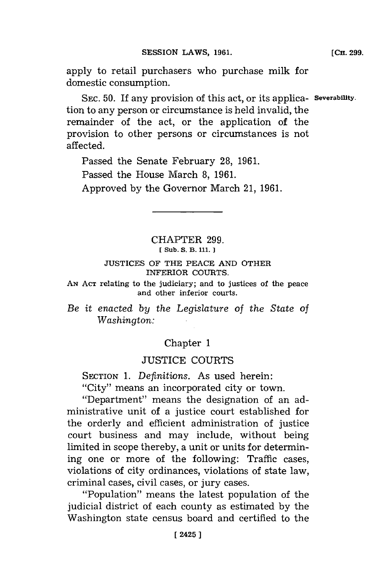apply to retail purchasers who purchase milk for domestic consumption.

SEC. 50. If any provision of this act, or its applica- Severability. tion to any person or circumstance is held invalid, the remainder of the act, or the application of the provision to other persons or circumstances is not affected.

Passed the Senate February **28, 1961.** Passed the House March **8, 1961.** Approved **by** the Governor March 21, **1961.**

> CHAPTER **299. [ Sub. S. B. 111. 1**

### **JUSTICES** OF THE **PEACE AND** OTHER INFERIOR **COURTS.**

**AN ACT** relating to the judiciary; and to justices of the peace and other inferior courts.

Be *it* enacted *by the Legislature of the State of* Washington:

# Chapter **1**

## **JUSTICE COURTS**

**SECTION 1.** *Definitions.* As used herein:

"City" means an incorporated city or town.

"Department" means the designation of an administrative unit of a justice court established for the orderly and efficient administration of justice court business and may include, without being limited in scope thereby, a unit or units for determining one or more of the following: Traffic cases, violations of city ordinances, violations of state law, criminal cases, civil cases, or jury cases.

"Population" means the latest population of the judicial district of each county as estimated **by** the Washington state census board and certified to the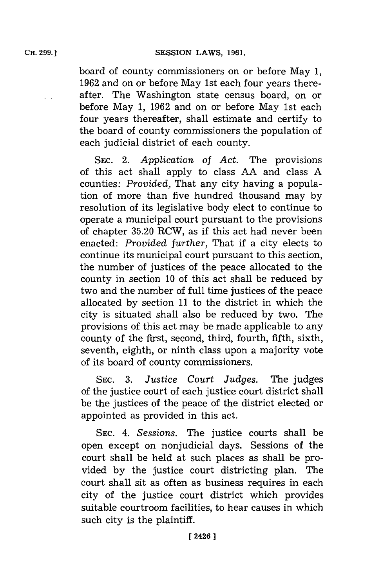board of county commissioners on or before May **1, 1962** and on or before May 1st each four years thereafter. The Washington state census board, on or before May **1, 1962** and on or before May 1st each four years thereafter, shall estimate and certify to the board of county commissioners the population of each judicial district of each county.

SEc. 2. *Application of Act.* The provisions of this act shall apply to class **AA** and class **A** counties: *Provided,* That any city having a population of more than five hundred thousand may **by** resolution of its legislative body elect to continue to operate a municipal court pursuant to the provisions of chapter **35.20** RCW, as if this act had never been enacted: *Provided further,* That if a city elects to continue its municipal court pursuant to this section, the number of justices of the peace allocated to the county in section **10** of this act shall be reduced **by** two and the number of full time justices of the peace allocated **by** section **11** to the district in which the city is situated shall also be reduced **by** two. The provisions of this act may be made applicable to any county of the first, second, third, fourth, fifth, sixth, seventh, eighth, or ninth class upon a majority vote of its board of county commissioners.

**SEC. 3.** *Justice Court Judges.* The judges of the justice court of each justice court district shall be the justices of the peace of the district elected or appointed as provided in this act.

**SEC.** 4. *Sessions.* The justice courts shall be open except on nonjudicial days. Sessions of the court shall be held at such places as shall be provided **by** the justice court districting plan. The court shall sit as often as business requires in each city of the justice court district which provides suitable courtroom facilities, to hear causes in which such city is the plaintiff.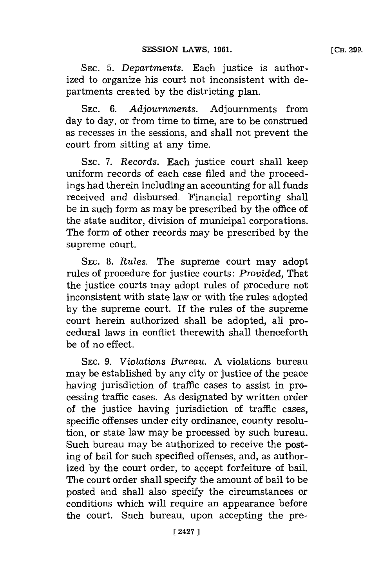**[CH. 299.**

**SEC. 5.** *Departments.* Each justice is authorized to organize his court not inconsistent with departments created **by** the districting plan.

**SEC.** *6. Adjournments.* Adjournments from day to day, or from time to time, are to be construed as recesses in the sessions, and shall not prevent the court from sitting at any time.

**SEC.** *7. Records.* Each justice court shall keep uniform records of each case filed and the proceedings had therein including an accounting for all funds received and disbursed. Financial reporting shall be in such form as may be prescribed **by** the office of the state auditor, division of municipal corporations. The form of other records may be prescribed **by** the supreme court.

**SEC. 8.** *Rules.* The supreme court may adopt rules of procedure for justice courts: *Provided,* That the justice courts may adopt rules of procedure not inconsistent with state law or with the rules adopted **by** the supreme court. If the rules of the supreme court herein authorized shall be adopted, all procedural laws in conflict therewith shall thenceforth be of no effect.

**SEC.** *9. Violations Bureau.* **A** violations bureau may be established **by** any city or justice of the peace having jurisdiction of traffic cases to assist in processing traffic cases. As designated **by** written order of the justice having jurisdiction of traffic cases, specific offenses under city ordinance, county resolution, or state law may be processed **by** such bureau. Such bureau may be authorized to receive the posting of bail for such specified offenses, and, as authorized **by** the court order, to accept forfeiture of bail. The court order shall specify the amount of bail to be posted and shall also specify the circumstances or conditions which will require an appearance before the court. Such bureau, upon accepting the pre-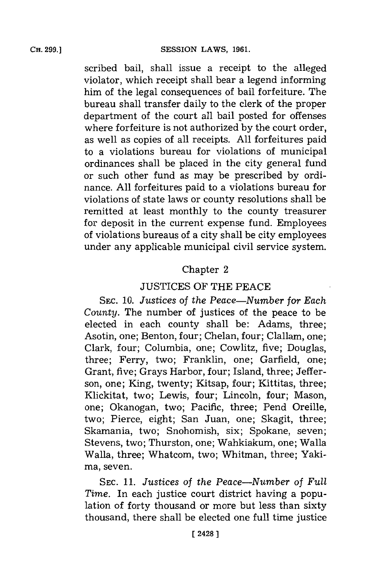scribed bail, shall issue a receipt to the alleged violator, which receipt shall bear a legend informing him of the legal consequences of bail forfeiture. The bureau shall transfer daily to the clerk of the proper department of the court all bail posted for offenses where forfeiture is not authorized **by** the court order, as well as copies of all receipts. **All** forfeitures paid to a violations bureau for violations of municipal ordinances shall be placed in the city general fund or such other fund as may be prescribed **by** ordinance. **All** forfeitures paid to a violations bureau for violations of state laws or county resolutions shall be remitted at least monthly to the county treasurer for deposit in the current expense fund. Employees of violations bureaus of a city shall be city employees under any applicable municipal civil service system.

### Chapter 2

### **JUSTICES** OF THE **PEACE**

**SEC. 10.** *Justices of the Peace-Number for Each County.* The number of justices of the peace to be elected in each county shall be: Adams, three; Asotin, one; Benton, four; Chelan, four; Clallam, one; Clark, four; Columbia, one; Cowlitz, five; Douglas, three; Ferry, two; Franklin, one; Garfield, one; Grant, five; Grays Harbor, four; Island, three; Jefferson, one; King, twenty; Kitsap, four; Kittitas, three; Klickitat, two; Lewis, four; Lincoln, four; Mason, one; Okanogan, two; Pacific, three; Pend Oreille, two; Pierce, eight; San Juan, one; Skagit, three; Skamania, two; Snohomish, six; Spokane, seven; Stevens, two; Thurston, one; Wahkiakum, one; Walla Walla, three; Whatcom, two; Whitman, three; Yakima, seven.

**SEC.** *11. Justices of the Peace-Number of Full Time.* In each justice court district having a population of forty thousand or more but less than sixty thousand, there shall be elected one full time justice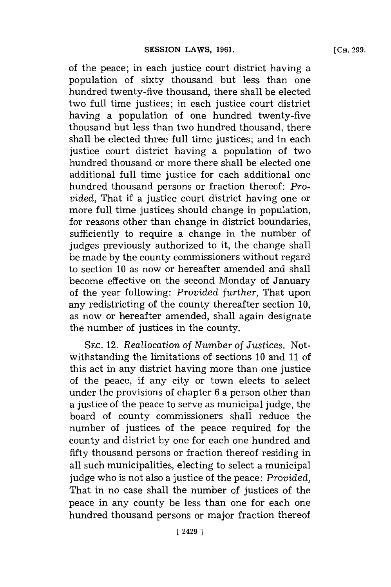of the peace; in each justice court district having a population of sixty thousand but less than one hundred twenty-five thousand, there shall be elected two full time justices; in each justice court district having a population of one hundred twenty-five thousand but less than two hundred thousand, there shall be elected three full time justices; and in each justice court district having a population of two hundred thousand or more there shall be elected one additional full time justice for each additional one hundred thousand persons or fraction thereof: *Provided,* That if a justice court district having one or more full time justices should change in population, for reasons other than change in district boundaries, sufficiently to require a change in the number of judges previously authorized to it, the change shall be made **by** the county commissioners without regard to section **10** as now or hereafter amended and shall become effective on the second Monday of January of the year following: *Provided further,* That upon any redistricting of the county thereafter section **10,** as now or hereafter amended, shall again designate the number of justices in the county.

**SEC.** 12. *Reallocation of Number of Justices.* Notwithstanding the limitations of sections **10** and **11** of this act in any district having more than one justice of the peace, if any city or town elects to select under the provisions of chapter **6** a person other than a justice of the peace to serve as municipal judge, the board of county commissioners shall reduce the number of justices of the peace required for the county and district **by** one **for** each one hundred and fifty thousand persons or fraction thereof residing in all such municipalities, electing to select a municipal judge who is not also a justice of the peace: *Provided,* That in no case shall the number of justices of the peace in any county be less than one for each one hundred thousand persons or major fraction thereof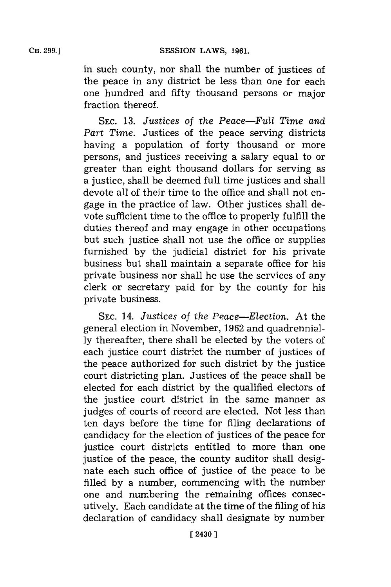in such county, nor shall the number of justices of the peace in any district be less than one for each one hundred and fifty thousand persons or major fraction thereof.

**SEC. 13.** *Justices of the Peace-Full Time* and *Part Time.* Justices of the peace serving districts having a population of forty thousand or more persons, and justices receiving a salary equal to or greater than eight thousand dollars for serving as a justice, shall be deemed full time justices and shall devote all of their time to the office and shall not engage in the practice of law. Other justices shall devote sufficient time to the office to properly fulfill the duties thereof and may engage in other occupations but such justice shall not use the office or supplies furnished **by** the judicial district for his private business but shall maintain a separate office for his private business nor shall he use the services of any clerk or secretary paid for **by** the county for his private business.

**SEC.** 14. *Justices of the Peace-Election.* At the general election in November, **1962** and quadrennial**ly** thereafter, there shall be elected **by** the voters of each justice court district the number of justices of the peace authorized for such district **by** the justice court districting plan. Justices of the peace shall be elected for each district **by** the qualified electors of the justice court district in the same manner as judges of courts of record are elected. Not less than ten days before the time for filing declarations of candidacy for the election of justices of the peace for justice court districts entitled to more than one justice of the peace, the county auditor shall designate each such office of justice of the peace to be filled **by** a number, commencing with the number one and numbering the remaining offices consecutively. Each candidate at the time of the filing of his declaration of candidacy shall designate **by** number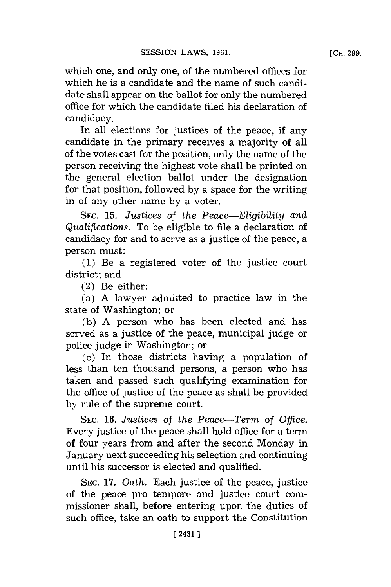which one, and only one, of the numbered offices for which he is a candidate and the name of such candidate shall appear on the ballot for only the numbered office for which the candidate filed his declaration of candidacy.

In all elections for justices of the peace, if any candidate in the primary receives a majority of all of the votes cast for the position, only the name of the person receiving the highest vote shall be printed on the general election ballot under the designation for that position, followed **by** a space for the writing in of any other name **by** a voter.

SEC. **15.** *Justices of the Peace-Eligibility* and *Qualifications.* To be eligible to file a declaration of candidacy for and to serve as a justice of the peace, a person must:

**(1)** Be a registered voter of the justice court district; and

(2) Be either:

(a) **A** lawyer admitted to practice law in the state of Washington; or

**(b) A** person who has been elected and has served as a justice of the peace, municipal judge or police judge in Washington; or

(c) In those districts having a population of less than ten thousand persons, a person who has taken and passed such qualifying examination for the office of justice of the peace as shall be provided **by** rule of the supreme court.

**SEC. 16.** Justices *of the Peace-Term of Office.* Every justice of the peace shall hold office for a term of four years from and after the second Monday in January next succeeding his selection and continuing until his successor is elected and qualified.

SEC. 17. Oath. Each justice of the peace, justice of the peace pro tempore and justice court commissioner shall, before entering upon the duties of such office, take an oath to support the Constitution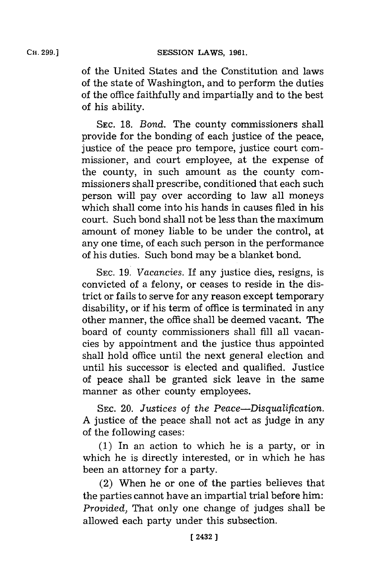of the United States and the Constitution and laws of the state of Washington, and to perform the duties of the office faithfully and impartially and to the best of his ability.

**SEC. 18.** *Bond.* The county commissioners shall provide for the bonding of each justice of the peace, justice of the peace pro tempore, justice court commissioner, and court employee, at the expense of the county, in such amount as the county commissioners shall prescribe, conditioned that each such person will pay over according to law all moneys which shall come into his hands in causes filed in his court. Such bond shall not be less than the maximum amount of money liable to be under the control, at any one time, of each such person in the performance of his duties. Such bond may be a blanket bond.

**SEC. 19.** *Vacancies.* If any justice dies, resigns, is convicted of a felony, or ceases to reside in the district or fails to serve for any reason except temporary disability, or if his term of office is terminated in any other manner, the office shall be deemed vacant. The board of county commissioners shall **fill** all vacancies **by** appointment and the justice thus appointed shall hold office until the next general election and until his successor is elected and qualified. Justice of peace shall be granted sick leave in the same manner as other county employees.

**SEC.** 20. *Justices of the Peace-Disqualification.* **A** justice of the peace shall not act as judge in any of the following cases:

**(1)** In an action to which he is a party, or in which he is directly interested, or in which he has been an attorney for a party.

(2) When he or one of the parties believes that the parties cannot have an impartial trial before him: *Provided,* That only one change of judges shall be allowed each party under this subsection.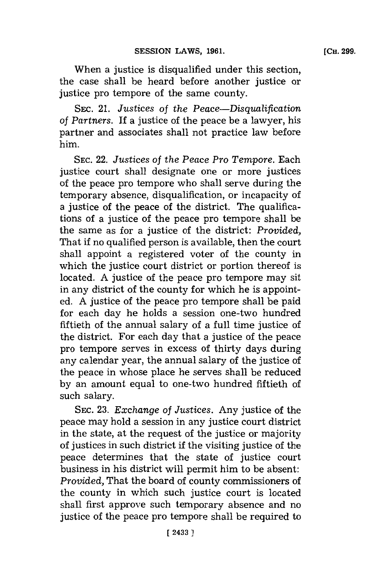When a justice is disqualified under this section, the case shall be heard before another justice or justice pro tempore of the same county.

SEc. 21. *Justices of the Peace-Disqualification of Partners.* **If** a justice of the peace be a lawyer, his partner and associates shall not practice law before him.

**SEC.** 22. *Justices of the Peace Pro Tempore.* Each justice court shall designate one or more justices of the peace pro tempore who shall serve during the temporary absence, disqualification, or incapacity of a justice of the peace of the district. The qualifications of a justice of the peace pro tempore shall be the same as for a justice of the district: *Provided,* That if no qualified person is available, then the court shall appoint a registered voter of the county in which the justice court district or portion thereof is located. **A** justice of the peace pro tempore may sit in any district of the county for which he is appointed. **A** justice of the peace pro tempore shall be paid for each day he holds a session one-two hundred fiftieth of the annual salary of a full time justice of the district. For each day that a justice of the peace pro tempore serves in excess of thirty days during any calendar year, the annual salary of the justice of the peace in whose place he serves shall be reduced **by** an amount equal to one-two hundred fiftieth of such salary.

**SEC. 23.** *Exchange of Justices.* Any justice of the peace may hold a session in any justice court district in the state, at the request of the justice or majority of justices in such district if the visiting justice of the peace determines that the state of justice court business in his district will permit him to be absent: *Provided,* That the board of county commissioners of the county in which such justice court is located shall first approve such temporary absence and no justice of the peace pro tempore shall be required to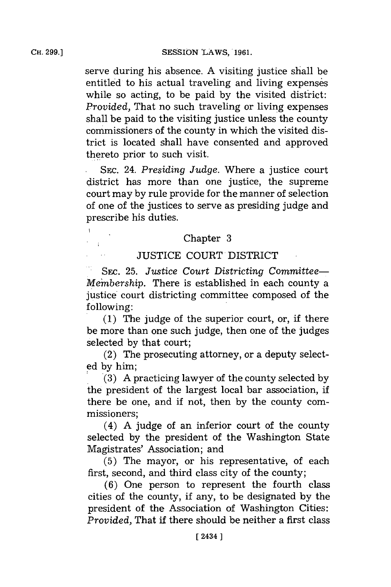**CH. 299.]**

 $\overline{\mathbf{1}}$  $\mathbb{R}^2$ 

serve during his absence. **A** visiting justice shall be entitled to his actual traveling and living expenses while so acting, to be paid **by** the visited district: *Provided,* That no such traveling or living expenses shall be paid to the visiting justice unless the county commissioners of the county in which the visited district is located shall have consented and approved thereto prior to such visit.

SEC. 24. *Presiding Judge*. Where a justice court district has more than one justice, the supreme court may **by** rule provide for the manner of selection of one of the justices to serve as presiding judge and prescribe his duties.

# Chapter **3**

## **JUSTICE COURT** DISTRICT

SEc. **25.** *Justice* Court *Districting Committee-Membership.* There is established in each county a justice court districting committee composed of the following:

**(1)** The judge of the superior court, or, if there be more than one such judge, then one of the judges selected **by** that court;

(2) The prosecuting attorney, or a deputy select**ed by** him; **1(3) A** practicing lawyer of the county selected **by**

the president of the largest local bar association, if there be one, and if not, then **by** the county commissioners;

(4) **A** judge of an inferior court of the county selected **by** the president of the Washington State Magistrates' Association; and

**(5)** The mayor, or his representative, of each first, second, and third class city of the county;

**(6)** One person to represent the fourth class cities of the county, if any, to be designated **by** the president of the Association of Washington Cities: *Provided,* That if there should be neither a first class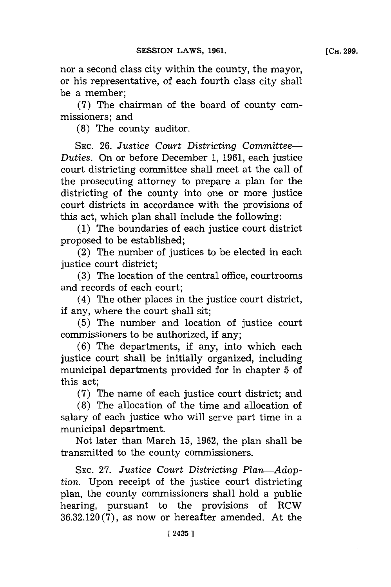nor a second class city within the county, the mayor, or his representative, of each fourth class city shall be a member;

**(7)** The chairman of the board of county commissioners; and

**(8)** The county auditor.

**SEC. 26.** *Justice Court Districting Committee-Duties.* On or before December **1, 1961,** each justice court districting committee shall meet at the call of the prosecuting attorney to prepare a plan for the districting of the county into one or more justice court districts in accordance with the provisions of this act, which plan shall include the following:

**(1)** The boundaries of each justice court district proposed to be established;

(2) The number of justices to be elected in each justice court district;

**(3)** The location of the central office, courtrooms and records of each court;

(4) The other places in the justice court district, if any, where the court shall sit;

**(5)** The number and location of justice court commissioners to be authorized, if any;

**(6)** The departments, if any, into which each justice court shall be initially organized, including municipal departments provided for in chapter **5** of this act;

**(7)** The name of each justice court district; and

**(8)** The allocation of the time and allocation of salary of each justice who will serve part time in a municipal department.

Not later than March **15, 1962,** the plan shall be transmitted to the county commissioners.

**SEC. 27.** *Justice Court Districting Plan-Adoption.* Upon receipt of the justice court districting plan, the county commissioners shall hold a public hearing, pursuant to the provisions of RCW **36.32.120 (7),** as now or hereafter amended. At the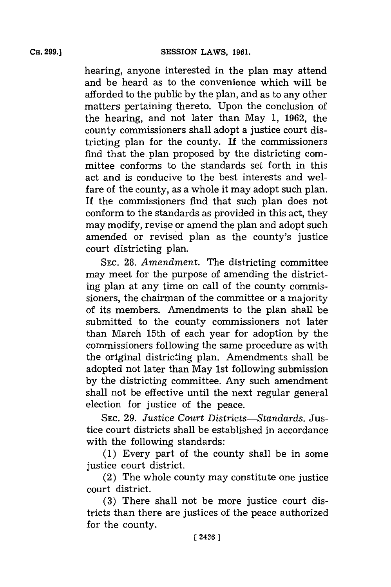hearing, anyone interested in the plan may attend and be heard as to the convenience which will be afforded to the public **by** the plan, and as to any other matters pertaining thereto. Upon the conclusion of the hearing, and not later than May **1, 1962,** the county commissioners shall adopt a justice court districting plan for the county. If the commissioners find that the. plan proposed **by** the districting committee conforms to the standards set forth in this act and is conducive to the best interests and welfare of the county, as a whole it may adopt such plan. If the commissioners find that such plan does not conform to the standards as provided in this act, they may modify, revise or amend the plan and adopt such amended or revised plan as the county's justice court districting plan.

**SEC. 28.** *Amendment.* The districting committee may meet for the purpose of amending the districting plan at any time on call of the county commissioners, the chairman of the committee or a majority of its members. Amendments to the plan shall be submitted to the county commissioners not later than March 15th of each year for adoption **by** the commissioners following the same procedure as with the original districting plan. Amendments shall be adopted not later than May 1st following submission **by** the districting committee. Any such amendment shall not be effective until the next regular general election for justice of the peace.

**SEC. 29.** *Justice Court Districts-Standards.* Justice court districts shall be established in accordance with the following standards:

**(1)** Every part of the county shall be in some justice court district.

(2) The whole county may constitute one justice court district.

**(3)** There shall not be more justice court districts than there are justices of the peace authorized for the county.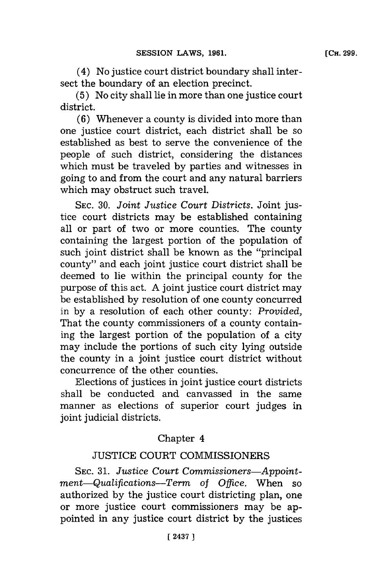(4) No justice court district boundary shall intersect the boundary of an election precinct.

**(5)** No city shall lie in more than one justice court district.

**(6)** Whenever a county is divided into more than one justice court district, each district shall be so established as best to serve the convenience of the people of such district, considering the distances which must be traveled **by** parties and witnesses in going to and from the court and any natural barriers which may obstruct such travel.

**SEC. 30.** *Joint Justice Court Districts.* Joint justice court districts may be established containing all or part of two or more counties. The county containing the largest portion of the population of such joint district shall be known as the "principal county" and each joint justice court district shall be deemed to lie within the principal county for the purpose of this act. **A** joint justice court district may be established **by** resolution of one county concurred in **by** a resolution of each other county: *Provided,* That the county commissioners of a county containing the largest portion of the population of a city may include the portions of such city lying outside the county in a joint justice court district without concurrence of the other counties.

Elections of justices in joint justice court districts shall be conducted and canvassed in the same manner as elections of superior court judges in joint judicial districts.

## Chapter 4

## **JUSTICE COURT** COMMISSIONERS

**SEC. 31.** *Justice Court Commissioners-Appointmient-Qualifications-Term of Office.* When so authorized **by** the justice court districting plan, one or more justice court commissioners may be appointed in any justice court district **by** the justices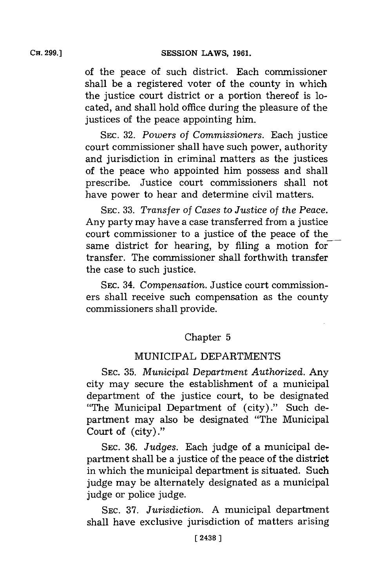of the peace of such district. Each commissioner shall be a registered voter of the county in which the justice court district or a portion thereof is located, and shall hold office during the pleasure of the justices of the peace appointing him.

**SEC. 32.** *Powers of Commissioners.* Each justice court commissioner shall have such power, authority and jurisdiction in criminal matters as the justices of the peace who appointed him possess and shall prescribe. Justice court commissioners shall not have power to hear and determine civil matters.

SEC. 33. *Transfer of Cases to Justice of the Peace.* Any party may have a case transferred from a justice court commissioner to a justice of the peace of the same district for hearing, **by** filing a motion for transfer. The commissioner shall forthwith transfer the case to such justice.

SEC. 34. *Compensation*. Justice court commissioners shall receive such compensation as the county commissioners shall provide.

## Chapter **5**

## MUNICIPAL DEPARTMENTS

**SEC. 35.** *Municipal Department Authorized.* Any city may secure the establishment of a municipal department of the justice court, to be designated "The Municipal Department of (city)." Such department may also be designated "The Municipal Court of (city) ."

SEC. 36. *Judges*. Each judge of a municipal department shall be a justice of the peace of the district in which the municipal department is situated. Such judge may be alternately designated as a municipal judge or police judge.

**SEC. 37.** *Jurisdiction.* **A** municipal department shall have exclusive jurisdiction of matters arising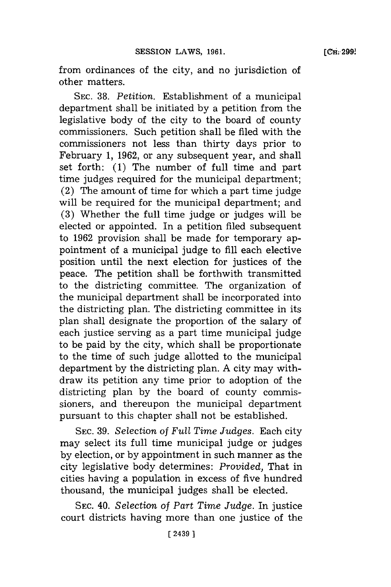from ordinances of the city, and no jurisdiction of other matters.

**SEC. 38.** *Petition.* Establishment of a municipal department shall be initiated **by** a petition from the legislative body of the city to the board of county commissioners. Such petition shall be filed with the commissioners not less than thirty days prior to February **1, 1962,** or any subsequent year, and shall set forth: (1) The number of full time and part time judges required for the municipal department; (2) The amount of time for which a part time judge will be required for the municipal department; and **(3)** Whether the full time judge or judges will be elected or appointed. In a petition filed subsequent to **1962** provision shall be made for temporary appointment of a municipal judge to **fill** each elective position until the next election for justices of the peace. The petition shall be forthwith transmitted to the districting committee. The organization of the municipal department shall be incorporated into the districting plan. The districting committee in its plan shall designate the proportion of the salary of each justice serving as a part time municipal judge to be paid **by** the city, which shall be proportionate to the time of such judge allotted to the municipal department **by** the districting plan. **A** city may withdraw its petition any time prior to adoption of the districting plan **by** the board of county commissioners, and thereupon the municipal department pursuant to this chapter shall not be established.

**SEC. 39.** *Selection* of *Full Time Judges.* Each city may select its full time municipal judge or judges **by** election, or **by** appointment in such manner as the city legislative body determines: *Provided,* That in cities having a population in excess of five hundred thousand, the municipal judges shall be elected.

**SEC.** 40. *Selection of Part Time Judge.* In justice court districts having more than one justice of the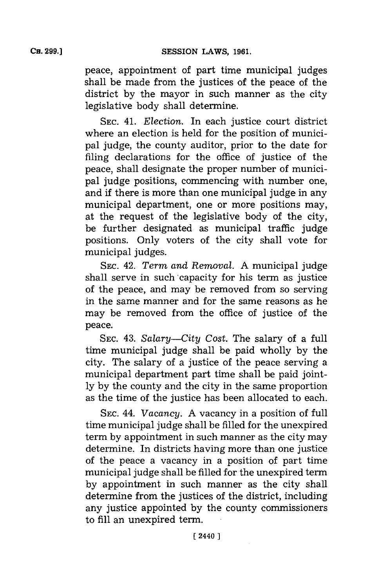peace, appointment of part time municipal judges shall be made from the justices of the peace of the district **by** the mayor in such manner as the city legislative body shall determine.

**SEC.** 41. *Election.* In each justice court district where an election is held for the position of municipal judge, the county auditor, prior to the date for filing declarations for the office of justice of the peace, shall designate the proper number of municipal judge positions, commencing with number one, and if there is more than one municipal judge in any municipal department, one or more positions may, at the request of the legislative body of the city, be further designated as municipal traffic judge positions. Only voters of the city shall vote for municipal judges.

**SEC.** 42. *Term and Removal.* **A** municipal judge shall serve in such capacity for his term as justice of the peace, and may be removed from so serving in the same manner and for the same reasons as he may be removed from the office of justice of the peace.

SEC. 43. *Salary-City Cost.* The salary of a full time municipal judge shall be paid wholly **by** the city. The salary of a justice of the peace serving a municipal department part time shall be paid joint**ly by** the county and the city in the same proportion as the time of the justice has been allocated to each.

**SEC.** 44. *Vacancy.* **A** vacancy in a position of full time municipal judge shall be filled for the unexpired term **by** appointment in such manner as the city may determine. In districts having more than one justice of the peace a vacancy in a position of part time municipal judge shall be filled for the unexpired term **by** appointment in such manner as the city shall determine from the justices of the district, including any justice appointed **by** the county commissioners to **fill** an unexpired term.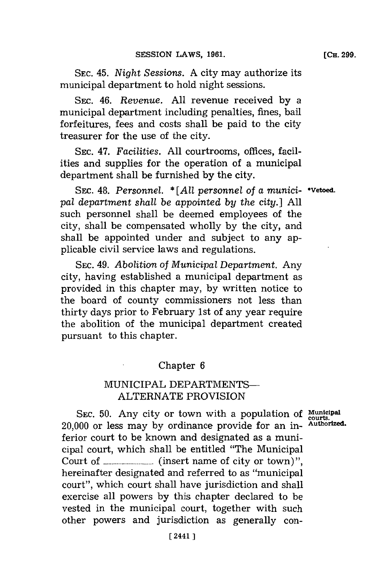**SEC.** 45. *Night Sessions.* **A** city may authorize its municipal department to hold night sessions.

SEC. 46. *Revenue.* **All** revenue received **by** a municipal department including penalties, fines, bail forfeitures, fees and costs shall be paid to the city treasurer for the use of the city.

**SEC.** 47. *Facilities.* **All** courtrooms, offices, facilities and supplies for the operation of a municipal department shall be furnished **by** the city.

SEC. 48. Personnel.  $*$  [All personnel of *a munici-* • Vetoed. *pal department shall be appointed by the city.]* **All** such personnel shall be deemed employees of the city, shall be compensated wholly **by** the city, and shall be appointed under and subject to any applicable civil service laws and regulations.

**SEC.** *49. Abolition of Municipal Department.* Any city, having established a municipal department as provided in this chapter may, **by** written notice to the board of county commissioners not less than thirty days prior to February 1st of any year require the abolition of the municipal department created pursuant to this chapter.

### Chapter **6**

## MUNICIPAL DEPARTMENTS-**ALTERNATE** PROVISION

SEC. 50. Any city or town with a population of Municipal 20,000 or less may **by** ordinance provide for an in- **Authorized.** ferior court to be known and designated as a municipal court, which shall be entitled "The Municipal Court of **............... (insert** name of city or town) **",** hereinafter designated and referred to as "municipal court", which court shall have jurisdiction and shall exercise all powers **by** this chapter declared to be vested in the municipal court, together with such other powers and jurisdiction as generally con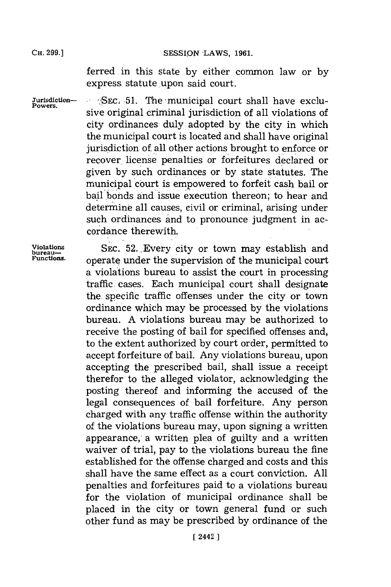CH. **99.]SESSION** LAWS, **1961.**

ferred in this state **by** either common law or **by** express statute upon said court.

Jurisdiction- **SEC. 51.** The municipal court shall have exclusive original criminal jurisdiction of all violations of city ordinances duly adopted **by** the city in which the municipal court is located and shall have original jurisdiction of all other actions brought to enforce or recover. license penalties or forfeitures declared or given **by** such ordinances or **by** state statutes. The municipal court is empowered to forfeit cash bail or bail bonds and issue execution thereon; to hear and determine all causes, civil or criminal, arising under such ordinances and to pronounce judgment in accordance therewith.

Violations SEC. 52. Every city or town may establish and bureau-<br>*Functions.* contract under the queenwising of the municipal count operate under the supervision of the municipal court a violations bureau to assist the court in processing traffic. cases. Each municipal court shall designate the. specific traffic offenses under the city or town ordinance which may be processed **by** the violations bureau. **A** violations bureau may be authorized to receive the posting of bail for specified offenses and, to the extent authorized **by** court order, permitted to accept forfeiture of bail. Any violations bureau, upon accepting the prescribed bail, shall issue a receipt therefor to the alleged violator, acknowledging the posting thereof and informing the accused of the legal consequences of bail forfeiture. Any person charged with any traffic offense within the authority of the violations bureau may, upon signing a written appearance, a written plea of guilty and a written waiver of trial, pay to the violations bureau the fine established for the offense charged and costs and this shall have the same effect as a court conviction. **All** penalties and forfeitures paid to a violations bureau for the violation of municipal ordinance shall be placed in the city or town general fund or such other fund as may be prescribed **by** ordinance of the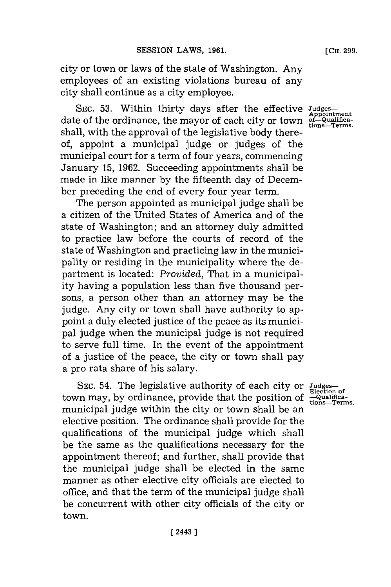city or town or laws of the state of Washington. Any employees of an existing violations bureau of any city shall continue as a city employee.

SEC. 53. Within thirty days after the effective Judges date of the ordinance, the mayor of each city or town of the appointment shall, with the approval of the legislative body thereof, appoint a municipal judge or judges of the municipal court for a term of four years, commencing January **15, 1962.** Succeeding appointments shall be made in like manner **by** the fifteenth day of December preceding the end of every four year term.

The person appointed as municipal judge shall be a citizen of the United States of America and of the state of Washington; and an attorney duly admitted to practice law before the courts of record of the state of Washington and practicing law in the municipality or residing in the municipality where the department is located: *Provided,* That in a municipality having a population less than five thousand persons, a person other than an attorney may be the judge. Any city or town shall have authority to appoint a duly elected justice of the peace as its municipal judge when the municipal judge is not required to serve full time. In the event of the appointment of a justice of the peace, the city or town shall pay a pro rata share of his salary.

**SEC.** 54. The legislative authority of each city or **Judges**town may, by ordinance, provide that the position of  $\frac{L_{\text{Coulified}}}{\text{tons}-\text{Terms}}}$ municipal judge within the city or town shall be an elective position. The ordinance shall provide for the qualifications of the municipal judge which shall be the same as the qualifications necessary for the appointment thereof; and further, shall provide that the municipal judge shall be elected in the same manner as other elective city officials are elected to office, and that the term of the municipal judge shall be concurrent with other city officials of the city or town.

**Election of**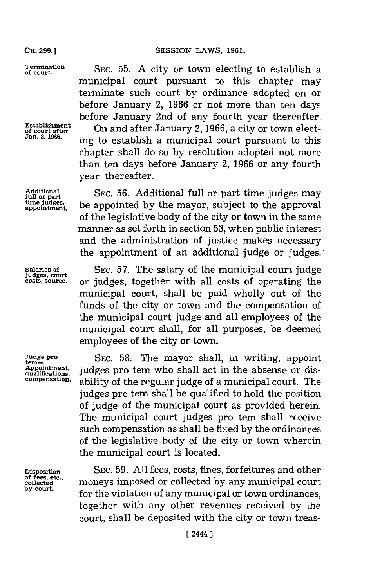#### **SESSION LAWS, 1961.**

**CH. 299.]**

**Termination of court.**

**Establishment of court after Jan. 2, 1966.**

**Additional full or part time judges. appointmen.**

**Judge pro tern Appointment, qualifications. compensation.**

**Disposition of fees, etc., collected by court.**

**SEC. 55. A** city or town electing to establish a municipal court pursuant to this chapter may terminate such court **by** ordinance adopted on or before January 2, **1966** or not more than ten days before January 2nd of any fourth year thereafter. On and after January 2, **1966,** a city or town electing to establish a municipal court pursuant to this chapter shall do so **by** resolution adopted not more than ten days before January 2, **1966** or any fourth year thereafter.

**SEC. 56.** Additional full or part time judges may be appointed **by** the mayor, subject to the approval of the legislative body of the city or town in the same manner as set forth in section **53,** when public interest and the administration of justice makes necessary the appointment of an additional judge or judges.

**Salaries of SEC. 57.** The salary of the municipal court judge **judges, court costs, source,** or judges, together with all costs of operating the municipal court, shall be paid wholly out of the funds of the city or town and the compensation of the municipal court judge and all employees of the municipal court shall, for all purposes, be deemed employees of the city or town.

> **SEC. 58.** The mayor shall, in writing, appoint judges pro tem who shall act in the absense or disability of the regular judge of a municipal court. The judges pro tem shall be qualified to hold the position of judge of the municipal court as provided herein. The municipal court judges pro tem shall receive such compensation as shall be fixed **by** the ordinances of the legislative body of the city or town wherein the municipal court is located.

> **SEC. 59. All** fees, costs, fines, forfeitures and other moneys imposed or collected **by** any municipal court for the violation of any municipal or town ordinances, together with any other revenues received **by** the court, shall be deposited with the city or town treas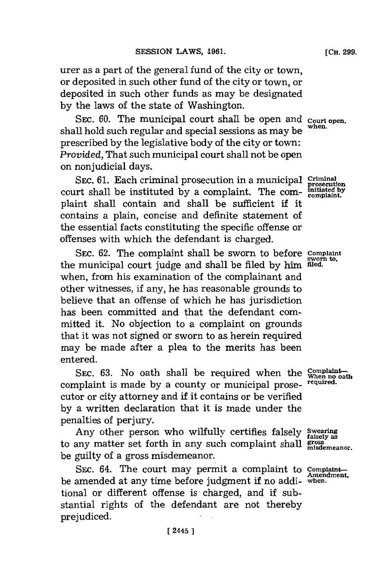urer as a part of the general fund of the city or town, or deposited in such other fund of the city or town, or deposited in such other funds as may be designated **by** the laws of the state of Washington.

SEC. 60. The municipal court shall be open and **Court open**. shall hold such regular and special sessions as may be prescribed **by** the legislative body of the city or town: *Provided,* That such municipal court shall not be open on nonjudicial days.

**SEC. 61.** Each criminal prosecution in a municipal **Criminal prosecution** court shall be instituted by a complaint. The complaint shall contain and shall be sufficient if it contains a plain, concise and definite statement of the essential facts constituting the specific offense or offenses with which the defendant is charged.

SEC. 62. The complaint shall be sworn to before **Complaint** the municipal court judge and shall be filed by him filed. when, from his examination of the complainant and other witnesses, if any, he has reasonable grounds to believe that an offense of which he has jurisdiction has been committed and that the defendant committed it. No objection to a complaint on grounds that it was not signed or sworn to as herein required may be made after a plea to the merits has been entered.

SEC. 63. No oath shall be required when the **When** no oat complaint is made **by** a county or municipal prose- **required.** cutor or city attorney and if it contains or be verified **by** a written declaration that it is made under the penalties of perjury.

Any other person who wilfully certifies falsely Swearing to any matter set forth in any such complaint shall **gross** be guilty of a gross misdemeanor.

SEC. 64. The court may permit a complaint to Complaint be amended at any time before judgment if no addi- **when.** tional or different offense is charged, and if substantial rights of the defendant are not thereby prejudiced.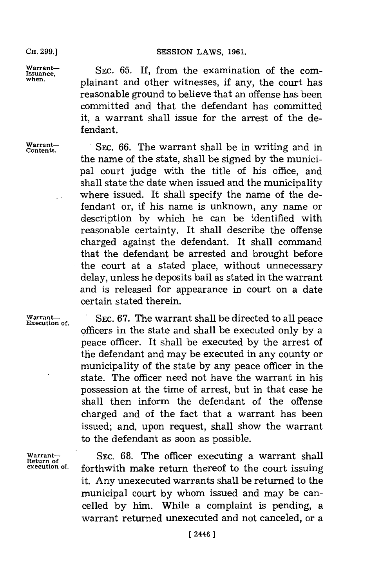warrant— SEC, 65. If, from the examination of the com Issuance, but when the examination of the com-<br>when. **plainant and other witnesses, if any, the court** has reasonable ground to believe that an offense has been committed and that the defendant has committed it, a warrant shall issue for the arrest of the defendant.

**Warrant-**

**Contents. SEC. 66.** The warrant shall be in writing and in the name of the state, shall be signed **by** the municipal court judge with the title of his office, and shall state the date when issued and the municipality where issued. It shall specify the name of the defendant or, if his name is unknown, any name or description **by** which he can be identified with reasonable certainty. It shall describe the offense charged against the defendant. It shall command that the defendant be arrested and brought before the court at a stated place, without unnecessary delay, unless he deposits bail as stated in the warrant and is released for appearance in court on a date certain stated therein.

Warrant-<br>Execution of. SEC. 67. The warrant shall be directed to all peace officers in the state and shall be executed only **by** a peace officer. It shall be executed **by** the arrest of the defendant and may be executed in any county or municipality of the state **by** any peace officer in the state. The officer need not have the warrant in his possession at the time of arrest, but in that case he shall then inform the defendant of the offense charged and of the fact that a warrant has been issued; and, upon request, shall show the warrant to the defendant as soon as possible.

Warrant-**Return of** SEC. 68. The officer executing a warrant shall **execution of. forthwith make return thereof** to the court issuing it. Any unexecuted warrants shall be returned to the municipal court **by** whom issued and may be cancelled **by** him. While a complaint is pending, a warrant returned unexecuted and not canceled, or a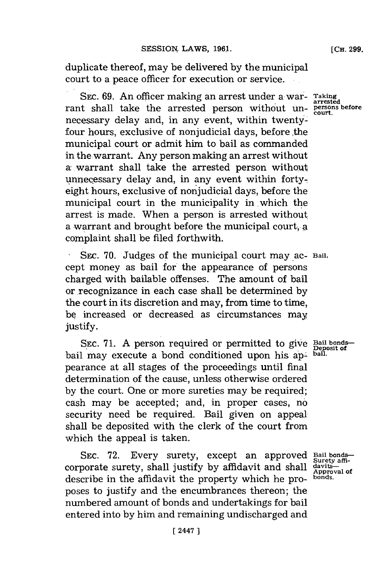duplicate thereof, may be delivered **by** the municipal court to a peace officer for execution or service.

SEC. 69. An officer making an arrest under a war- Taking rant shall take the arrested person without unnecessary delay and, in any event, within twentyfour hours, exclusive of nonjudicial days, before the municipal court or admit him to bail as commanded in the-warrant. Any person making an arrest without a warrant shall take the arrested person without, unnecessary delay and, in any event within fortyeight hours, exclusive of nonjudicial days, before the municipal court in the municipality in which the arrest is made. When a person is arrested without. a warrant and brought before the municipal court, **A** complaint shall be filed forthwith.

SEC. 70. Judges of the municipal court may ac- Bail. cept money as bail for' the appearance of persons charged with bailable offenses. The amount of bail or recognizance in each case shall be determined **by** the court in its discretion and may, from time to time, **be** increased or decreased as circumstances may **justify.**

SEC. 71. A person required or permitted to give Bail bondsbail may execute a bond conditioned upon his ap- bail. pearance at all stages of the proceedings until final determination of the cause, unless otherwise ordered **by** the court. One or more sureties may be required; cash may be accepted; and, in proper cases, **no\*** security need be required. Bail given on appeal. shall be deposited with the clerk of the court from which the appeal is taken.

SEC. **72.** Every surety, except an approved corporate surety, shall justify **by** affidavit and shall describe in the affidavit the property which he proposes to justify and the encumbrances thereon; the numbered amount of bonds and undertakings for bail entered into **by** him and remaining undischarged and

**Bail bonds-Surety affidavits-Approval of bonds.**

**arrested court.**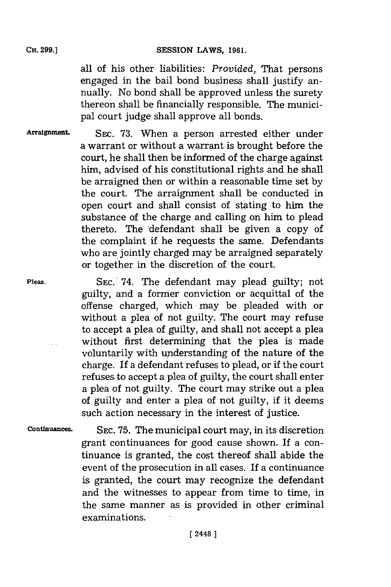#### SESSION LAWS, 1961.

all of his other liabilities: *Provided,* That persons engaged in the bail bond business shall justify annually. No bond shall be approved unless the surety thereon shall be financially responsible. The municipal court judge shall approve all bonds.

Arraignment. SEC. 73. When a person arrested either under a warrant or without a warrant is brought before the court, he shall then be informed of the charge against him, advised of his constitutional rights and he shall be arraigned then or within a reasonable time set **by** the court. The arraignment shall be conducted in open court and shall consist of stating to him the substance of the charge and calling on him to plead thereto. The 'defendant shall be given a copy of the complaint if he requests the same. Defendants who are jointly charged may be arraigned separately or together in the discretion of the court.

**Pleas. SEC.'** 74. The defendant may plead guilty; not guilty, and a former conviction or acquittal of the offense charged, which may be pleaded with or without a plea of not guilty. The court may refuse to accept a plea of guilty, and shall not accept a plea without first determining that the plea is made voluntarily with understanding of the nature of the charge. If a defendant refuses to plead, or if the court refuses to accept a plea of guilty, the court shall enter a plea of not guilty. The court may strike out a plea of guilty and enter a plea of not guilty, if it deems such action necessary in the interest of justice.

Continuances. SEC. 75. The municipal court may, in its discretion grant continuances for good cause shown. If a continuance is granted, the cost thereof shall abide the event of the prosecution in all cases. If a continuance is granted, the court may recognize the defendant and the witnesses to appear from time to time, in the same manner as is provided in other criminal examinations.

**[ 24481**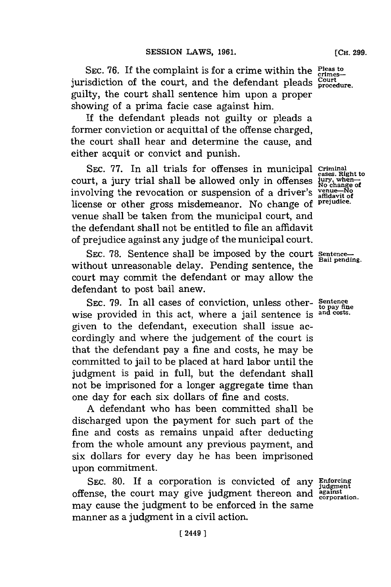SEC. 76. If the complaint is for a crime within the **Pleas to** crimesjurisdiction of the court, and the defendant pleads **Court** guilty, the court shall sentence him upon a proper showing of a prima facie case against him.

**If** the defendant pleads not guilty or pleads a former conviction or acquittal of the offense charged, the court shall hear and determine the cause, and either acquit or convict and punish.

SEC. 77. In all trials for offenses in municipal *criminal* cases. Right to court, a jury trial shall be allowed only in offenses 'u% **go** involving the revocation or suspension of a driver's **venue-No** license or other gross misdemeanor. No change of **prejudice.** venue shall be taken from the municipal court, and the defendant shall not be entitled to file an affidavit of prejudice against any judge of the municipal court.

SEC. 78. Sentence shall be imposed by the court Sentence without unreasonable delay. Pending sentence, the court may commit the defendant or may allow the defendant to post bail anew.

**SEC. 79.** In all cases of conviction, unless other- **Sentence to pay fine** wise provided in this act, where a jail sentence is <sup>and costs</sup> given to the defendant, execution shall issue accordingly and where the judgement of the court is that the defendant pay a fine and costs, he may be committed to jail to be placed at hard labor until the judgment is paid in full, but the defendant shall not be imprisoned for a longer aggregate time than one day for each six dollars of fine and costs.

**A** defendant who has been committed shall be discharged upon the payment for such part of the fine and costs as remains unpaid after deducting from the whole amount any previous payment, and six dollars for every day he has been imprisoned upon commitment.

SEC. 80. If a corporation is convicted of any Enforcial offense, the court may give judgment thereon and **agais.** may cause the judgment to be enforced in the same manner as a judgment in a civil action.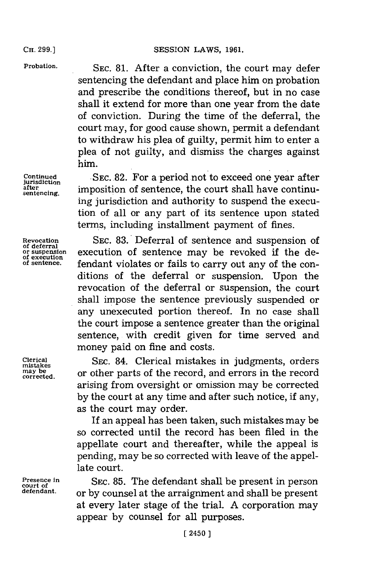or suspension<br>of execution<br>of sentence.

**Probation. SEC. 81.** After a conviction, the court may defer sentencing the defendant and place him on probation and prescribe the conditions thereof, but in no case shall it extend for more than one year from the date of conviction. During the time of the deferral, the court may, for good cause shown, permit a defendant to withdraw his plea of guilty, permit him to enter a plea of not guilty, and dismiss the charges against him.

Continued SEC. 82. For a period not to exceed one year after after **imposition** of sentence, the court shall have continuing jurisdiction and authority to suspend the execution of all or any part of its sentence upon stated terms, including installment payment of fines.

**Revocation** SEc. 83.'Deferral of sentence and suspension of execution of sentence may be revoked if the defendant violates or fails to carry out any of the conditions of the deferral or suspension. Upon the revocation of the deferral or suspension, the court shall impose the sentence previously suspended or any unexecuted portion thereof. In no case shall the court impose a sentence greater than the original sentence, with credit given for time served and money paid on fine and costs.

Clerical SEC. 84. Clerical mistakes in judgments, orders  $\frac{may be}{corrected}$  or other parts of the record, and errors in the record arising from oversight or omission may be corrected **by** the court at any time and after such notice, if any, as the court may order.

> **If** an appeal has been taken, such mistakes may be so corrected until the record has been filed in the appellate court and thereafter, while the appeal is pending, may be so corrected with leave of the appellate court.

**Presence in** SEC. 85. The defendant shall be present in person court of  $\frac{1}{n}$  or by counsel at the arraignment and shall be present **defended** by counsel at the arraignment and shall be present at every later stage of the trial. **A** corporation may appear **by** counsel for all purposes.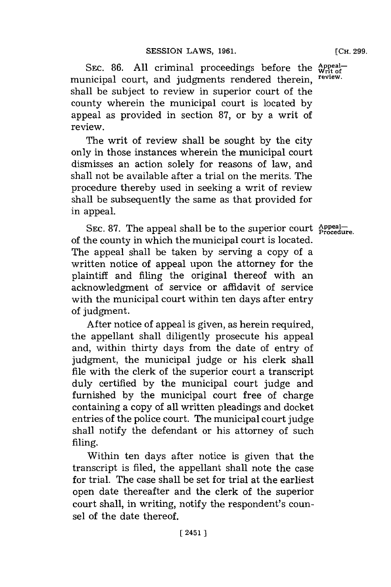**[CH. 299.**

SEC. 86. All criminal proceedings before the **Appeal**municipal court, and judgments rendered therein, review. shall be subject to review in superior court of the county wherein the municipal court is located **by** appeal as provided in section **87,** or **by** a writ of review.

The writ of review shall be sought **by** the city only in those instances wherein the municipal court dismisses an action solely for reasons of law, and shall not be available after a trial on the merits. The procedure thereby used in seeking a writ of review shall be subsequently the same as that provided for in appeal.

SEC. 87. The appeal shall be to the superior court **Appeal**—e of the county in which the municipal court is located. The appeal shall be taken **by** serving a copy of a written notice of appeal upon the attorney for the plaintiff and filing the original thereof with an acknowledgment of service or affidavit of service with the municipal court within ten days after entry of judgment.

After notice of appeal is given, as herein required, the appellant shall diligently prosecute his appeal and, within thirty days from the date of entry of judgment, the municipal judge or his clerk shall file with the clerk of the superior court a transcript duly certified **by** the municipal court judge and furnished **by** the municipal court free of charge containing a copy of all written pleadings and docket entries of the police court. The municipal court judge shall notify the defendant or his attorney of such filing.

Within ten days after notice is given that the transcript is filed, the appellant shall note the case for trial. The case shall be set for trial at the earliest open date thereafter and the clerk of the superior court shall, in writing, notify the respondent's counsel of the date thereof.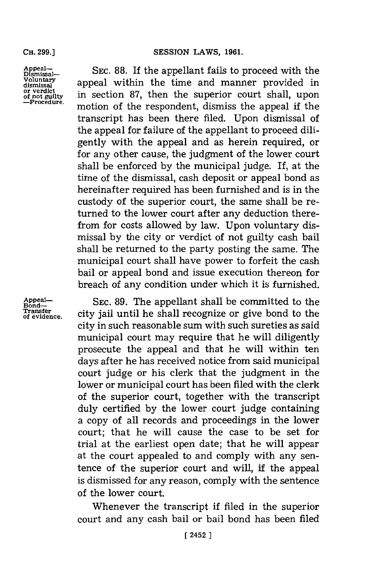#### **SESSION LAWS, 1961.**

**CH. 299.]**

or verdict<br>of not guilty<br>—Procedure.

Appeal—<br>Dismissal— SEC. 88. If the appellant fails to proceed with the<br>Voluntary appeal within the time and manner provided in **Vosmitary** a ppeal within the time and manner provided in in section 87, then the superior court shall, upon motion of the respondent, dismiss the appeal if the transcript has been there filed. Upon dismissal of the appeal for failure of the appellant to proceed diligently with the appeal and as herein required, or for any other cause, the judgment of the lower court shall be enforced **by** the municipal judge. If, at the time of the dismissal, cash deposit or appeal bond as hereinafter required has been furnished and is in the custody of the superior court, the same shall be returned to the lower court after any deduction therefrom for costs allowed **by** law. Upon voluntary dismissal **by** the city or verdict of not guilty cash bail shall be returned to the party posting the same. The municipal court shall have power to forfeit the cash bail or appeal bond and issue execution thereon for breach of any condition under which it is furnished.

Appeal— SEC. 89. The appellant shall be committed to the **Bond—**<br>Transfer<br>**Transference** city jail until he shall recognize or give bond to the city in such reasonable sum with such sureties as said municipal court may require that he will diligently prosecute the appeal and that he will within ten days after he has received notice from said municipal court judge or his clerk that the judgment in the lower or municipal court has been filed with the clerk of the superior court, together with the transcript duly certified **by** the lower court judge containing a copy of all records and proceedings in the lower court; that he will cause the case to be set for trial at the earliest open date; that he will appear at the court appealed to and comply with any sentence of the superior court and will, if the appeal is dismissed for any reason, comply with the sentence of the lower court.

> Whenever the transcript if filed in the superior court and any cash bail or bail bond has been filed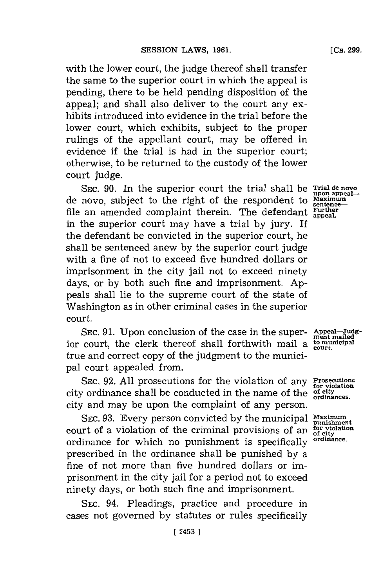with the lower court, the judge thereof shall transfer the same to the superior court in which the appeal is pending, there to be held pending disposition of the appeal; and shall also deliver to the court any exhibits introduced into evidence in the trial before the lower court, which exhibits, subject to the proper rulings of the appellant court, may be offered in evidence if the trial is had in the superior court; otherwise, to be returned to the custody of the lower court judge.

SEC. 90. In the superior court the trial shall be **Trial de novo**<br>novo subject to the right of the respondent to Maximum de novo, subject to the right of the respondent to Maximur file an amended complaint therein. The defendant Further in the superior court may have a trial **by** jury. If the defendant be convicted in the superior court, he shall be sentenced anew **by** the superior court judge with a fine of not to exceed five hundred dollars or imprisonment in the city jail not to exceed ninety days, or **by** both such fine and imprisonment. **Ap**peals shall lie to the supreme court of the state of Washington as in other criminal cases in the superior court.

SEC. 91. Upon conclusion of the case in the super- Appeal-Judgior court, the clerk thereof shall forthwith mail a **to municipal** true and correct copy of the judgment to the municipal court appealed from.

SEC. 92. All prosecutions for the violation of any Prosecutions city ordinance shall be conducted in the name of the **of city** city and may be upon the complaint of any person.

SEC. 93. Every person convicted by the municipal Maximum<br>art of a violation of the criminal provisions of an  $_{\text{of city}}^{\text{for violation}}$ <br>linance for which no nunishment is specifically <sup>ordinance</sup>. court of a violation of the criminal provisions of an ordinance for which no punishment is specifically **ordinance.** prescribed in the ordinance shall be punished **by** a fine of not more than five hundred dollars or imprisonment in the city jail for a period not to exceed ninety days, or both such fine and imprisonment.

**SEC.** 94. Pleadings, practice and procedure in cases not governed **by** statutes or rules specifically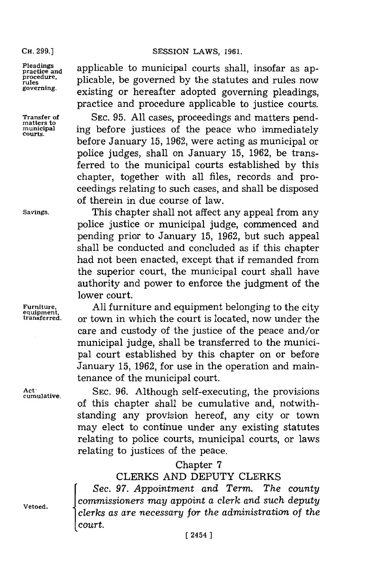#### **CH. 299.] SESSION** LAWS, **1961.**

Pleadings<br>practice and **applicable to municipal courts shall**, insofar as approcedure. procedure, plicable, be governed by the statutes and rules now<br>rules<br>governing. a sectation on honor fter a douted governing placelings. **governing,** existing or hereafter adopted governing pleadings, practice and procedure applicable to justice courts.

**Transfer of** SEC. 95. All cases, proceedings and matters pend-<br>
matters to the negree who immediately<br>
municipal ing before justices of the negree who immediately **municipal** ing before justices of the peace who immediately **courts.** before January **15, 1962,** were acting as municipal or police judges, shall on January **15, 1962,** be transferred to the municipal courts established **by** this chapter, together with all files, records and proceedings relating to such cases, and shall be disposed of therein in due course of law.

Savings. This chapter shall not affect any appeal from any police justice or municipal judge, commenced and pending prior to January **15, 1962,** but such appeal shall be conducted and concluded as if this chapter had not been enacted, except that if remanded from the superior court, the municipal court shall have authority and power to enforce the judgment of the lower court.

Furniture, **All furniture and equipment belonging to the city**<br>
<u>equipment</u><br>
transferred. Or town in which the court is located, now under the or town in which the court is located, now under the care and custody of the justice of the peace and/or municipal judge, shall be transferred to the municipal court established **by** this chapter on or before January **15, 1962, for** use in the operation and maintenance of the municipal court.

Act<sup>r</sup> SEC. 96. Although self-executing, the provisions of this chapter shall be cumulative and, notwithstanding any provision hereof, any city or town may elect to continue under any existing statutes relating to police courts, municipal courts, or laws relating to justices of the peace.

### Chapter **7**

### CLERKS **AND DEPUTY** CLERKS

Sec. 97. *Appointment and Term. The county* commissioners may appoint a clerk and such deputy **Vetoed.** *commissioners may appoint a clerk and such deputy* 1clerks *as are necessary for the administration of the court.*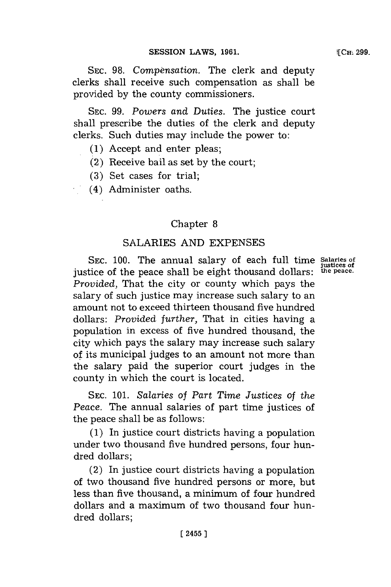SEC. 98. Compensation. The clerk and deputy clerks shall receive such compensation as shall be provided **by** the county commissioners.

SEC. 99. Powers and Duties. The justice court shall prescribe the duties of the clerk and deputy clerks. Such duties may include the power to:

- **(1)** Accept and enter pleas;
- (2) Receive bail as set **by** the court;
- **(3)** Set cases for trial;
- (4) Administer oaths.

### Chapter **8**

### **SALARIES AND EXPENSES**

**SEC. 100.** The annual salary of each full time **Salaries of justices of** justice of the peace shall be eight thousand dollars: **the peace.** *Provided,* That the city or county which pays the salary of such justice may increase such salary to an amount not to exceed thirteen thousand five hundred dollars: *Provided further,* That in cities having a population in excess of five hundred thousand, the city which pays the salary may increase such salary of its municipal judges to an amount not more than the salary paid the superior court judges in the county in which the court is located.

**SEC. 101.** *Salaries of Part Time Justices of the Peace.* The annual salaries of part time justices of the peace shall be as follows:

**(1)** In justice court districts having a population under two thousand five hundred persons, four hundred dollars;

(2) In justice court districts having a population of two thousand five hundred persons or more, but less than five thousand, a minimum of four hundred dollars and a maximum of two thousand four hundred dollars;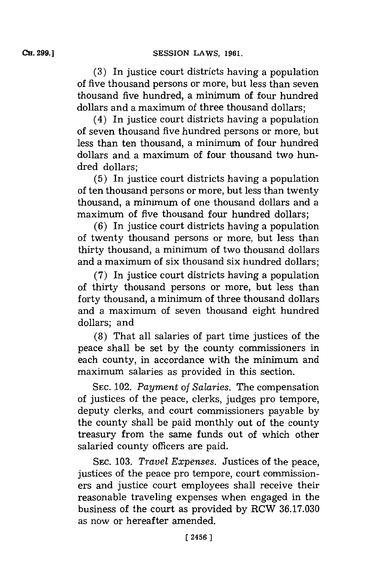**(3)** In justice court districts having a population of five thousand persons or more, but less than seven thousand five hundred, a minimum of four hundred dollars and a maximum of three thousand dollars;

(4) In justice court districts having a population of seven thousand five hundred persons or more, but less than ten thousand, a minimum of four hundred dollars and a maximum of four thousand two hundred dollars;

**(5)** In justice court districts having a population of ten thousand persons or more, but less than twenty thousand, a minimum of one thousand dollars and a maximum of five thousand four hundred dollars;

**(6)** In justice court districts having a population of twenty thousand persons or more, but less than thirty thousand, a minimum of two thousand dollars and a maximum of six thousand six hundred dollars;

**(7)** In justice court districts having a population of thirty thousand persons or more, but less than forty thousand, a minimum of three thousand dollars and a maximum of seven thousand eight hundred dollars; and

**(8)** That all salaries of part time justices of the peace shall be set **by** the county commissioners in each county, in accordance with the minimum and maximum salaries as provided in this section.

**SEC.** 102. *Payment of Salaries.* The compensation of justices of the peace, clerks, judges pro tempore, deputy clerks, and court commissioners payable **by** the county shall be paid monthly out of the county treasury from the same funds out of which other salaried county officers are paid.

SEc. **103.** *Travel Expenses.* Justices of the peace, justices of the peace pro tempore, court commissioners and justice court employees shall receive their reasonable traveling expenses when engaged in the business of the court as provided **by** RCW **36.17.030** as now or hereafter amended.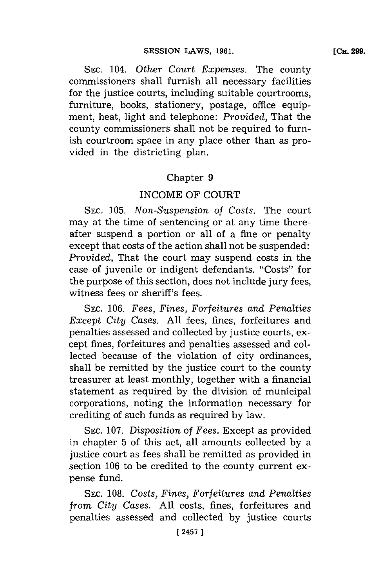**SEC.** 104. *Other Court Expenses.* The county commissioners shall furnish all necessary facilities for the justice courts, including suitable courtrooms, furniture, books, stationery, postage, office equipment, heat, light and telephone: *Provided,* That the county commissioners shall not be required to furnish courtroom space in any place other than as provided in the districting plan.

## Chapter **9**

## INCOME OF **COURT**

**SEC. 105.** *Non-Suspension of Costs.* The court may at the time of sentencing or at any time thereafter suspend a portion or all of a fine or penalty except that costs of the action shall not be suspended: *Provided,* That the court may suspend costs in the case of juvenile or indigent defendants. "Costs" for the purpose of this section, does not include jury fees, witness fees or sheriff's fees.

**SEC. 106.** *Fees, Fines, Forfeitures and Penalties Except City Cases.* **All** fees, fines, forfeitures and penalties assessed and collected **by** justice courts, except fines, forfeitures and penalties assessed and collected because of the violation of city ordinances, shall be remitted **by** the justice court to the county treasurer at least monthly, together with a financial statement as required **by** the division of municipal corporations, noting the information necessary for crediting of such funds as required **by** law.

**SEc. 107.** *Disposition of Fees.* Except as provided in chapter **5** of this act, all amounts collected **by** a justice court as fees shall be remitted as provided in section **106** to be credited to the county current expense fund.

**SEC. 108.** *Costs, Fines, Forfeitures and Penalties from City Cases.* **All** costs, fines, forfeitures and penalties assessed and collected **by** justice courts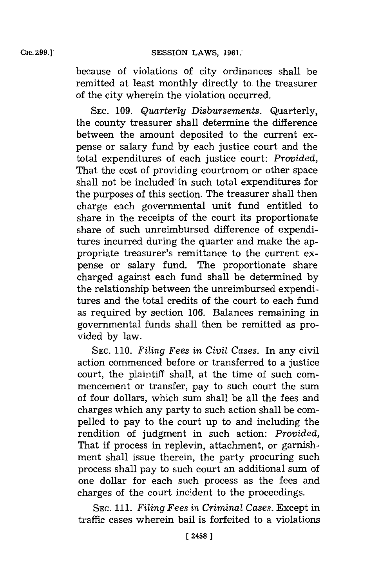because of violations of city ordinances shall be remitted at least monthly directly to the treasurer of the city wherein the violation occurred.

**SEC. 109.** *Quarterly Disbursements.* Quarterly, the county treasurer shall determine the difference between the amount deposited to the current expense or salary fund by each justice court and the total expenditures of each justice court: *Provided,* That the cost of providing courtroom or other space shall not be included in such total expenditures for the purposes of this section. The treasurer shall then charge each governmental unit fund entitled to share in the receipts of the court its proportionate share of such unreimbursed difference of expenditures incurred during the quarter and make the appropriate treasurer's remittance to the current expense or salary fund. The proportionate share charged against each fund shall be determined **by** the relationship between the unreimbursed expenditures and the total credits of the court to each fund as required **by** section **106.** Balances remaining in governmental funds shall then be remitted as provided **by** law.

**SEC. 110.** *Filing Fees in Civil Cases.* In any civil action commenced before or transferred to a justice court, the plaintiff shall, at the time of such commencement or transfer, pay to such court the sum of four dollars, which sum shall be all the fees and charges which any party to such action shall be compelled to pay to the court up to and including the rendition of judgment in such action: *Provided,* That if process in replevin, attachment, or garnishment shall issue therein, the party procuring such process shall pay to such court an additional sum of one dollar for each such process as the fees and charges of the court incident to the proceedings.

**SEC. 111.** *Filing Fees in Criminal Cases.* Except in traffic cases wherein bail is forfeited to a violations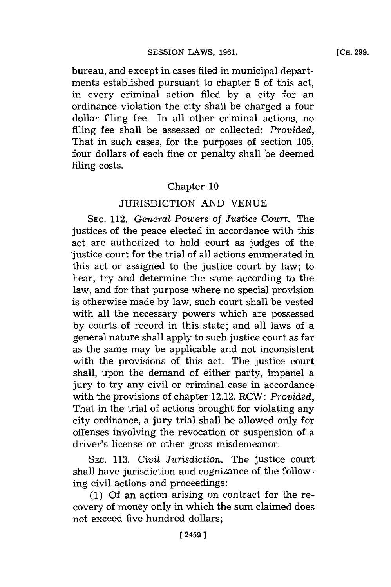bureau, and except in cases filed in municipal departments established pursuant to chapter **5** of this act, in every criminal action filed **by** a city for an ordinance violation the city shall be charged a four dollar filing fee. In all other criminal actions, no filing fee shall be assessed or collected: *Provided,* That in such cases, for the purposes of section **105,** four dollars of each fine or penalty shall be deemed filing costs.

## Chapter **10**

## JURISDICTION **AND VENUE**

**SEC.** 112. *General Powers* of *Justice Court.* The justices of the peace elected in accordance with this act are authorized to hold court as judges of the justice court for the trial of all actions enumerated in this act or assigned to the justice court **by** law; to hear, try and determine the same according to the law, and for that purpose where no special provision is otherwise made **by** law, such court shall be vested with all the necessary powers which are possessed **by** courts of record in this state; and all laws of a general nature shall apply to such justice court as far as the same may be applicable and not inconsistent with the provisions of this act. The justice court shall, upon the demand of either party, impanel a jury to try any civil or criminal case in accordance with the provisions of chapter 12.12. RCW: *Provided,* That in the trial of actions brought for violating any city ordinance, a jury trial shall be allowed only for offenses involving the revocation or suspension of a driver's license or other gross misdemeanor.

**SEC. 113.** *Civil Jurisdiction.* The justice court shall have jurisdiction and cognizance of the following civil actions and proceedings:

(1) Of an action arising on contract for the recovery of money only in which the sum claimed does not exceed five hundred dollars;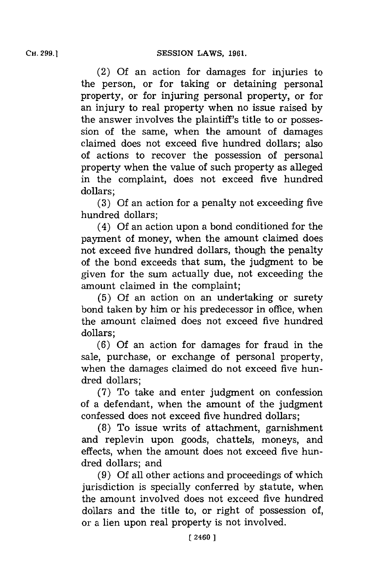(2) **Of** an action for damages for injuries to the person, or for taking or detaining personal property, or for injuring personal property, or for an injury to real property when no issue raised **by** the answer involves the plaintiff's title to or possession of the same, when the amount of damages claimed does not exceed five hundred dollars; also of actions to recover the possession of personal property when the value of such property as alleged in the complaint, does not exceed five hundred dollars;

**(3) Of** an action for a penalty not exceeding five hundred dollars;

(4) **Of** an action upon a bond conditioned for the payment of money, when the amount claimed does not exceed five hundred dollars, though the penalty of the bond exceeds that sum, the judgment to be given for the sum actually due, not exceeding the amount claimed in the complaint;

**(5) Of** an action on an undertaking or surety bond taken **by** him or his predecessor in office, when the amount claimed does not exceed five hundred dollars;

(6) Of an action for damages for fraud in the sale, purchase, or exchange of personal property, when the damages claimed do not exceed five hundred dollars;

**(7)** To take and enter judgment on confession of a defendant, when the amount of the judgment confessed does not exceed five hundred dollars;

**(8)** To issue writs of attachment, garnishment and replevin upon goods, chattels, moneys, and effects, when the amount does not exceed five hundred dollars; and

**(9) Of** all other actions and proceedings of which jurisdiction is specially conferred **by** statute, when the amount involved does not exceed five hundred dollars and the title to, or right of possession of, or a lien upon real property is not involved.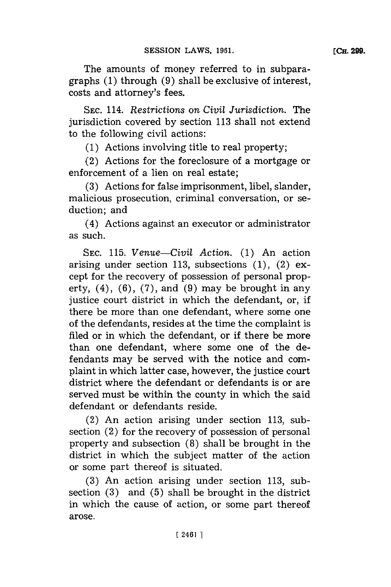The amounts of money referred to in subparagraphs **(1)** through **(9)** shall be exclusive of interest, costs and attorney's fees.

**SEC.** 114. *Restrictions on Civil Jurisdiction.* The jurisdiction covered **by** section **113** shall not extend to the following civil actions:

**(1)** Actions involving title to real property;

(2) Actions **for** the foreclosure of a mortgage or enforcement of a lien on real estate;

**(3)** Actions for false imprisonment, libel, slander, malicious prosecution, criminal conversation, or seduction; and

(4) Actions against an executor or administrator as such.

**SEC. 115.** *Venue-Civil Action.* **(1)** An action arising under section **113,** subsections **(1),** (2) except for the recovery of possession of personal property, (4), **(6), (7),** and **(9)** may be brought in any justice court district in which the defendant, or, if there be more than one defendant, where some one of the defendants, resides at the time the complaint is filed or in which the defendant, or if there be more than one defendant, where some one of the defendants may be served with the notice and complaint in which latter case, however, the justice court district where the defendant or defendants is or are served must be within the county in which the said defendant or defendants reside.

(2) An action arising under section **113,** subsection (2) for the recovery of possession of personal property and subsection **(8)** shall be brought in the district in which the subject matter of the action or some part thereof is situated.

**(3)** An action arising under section **113,** subsection **(3)** and **(5)** shall be brought in the district in which the cause of action, or some part thereof arose.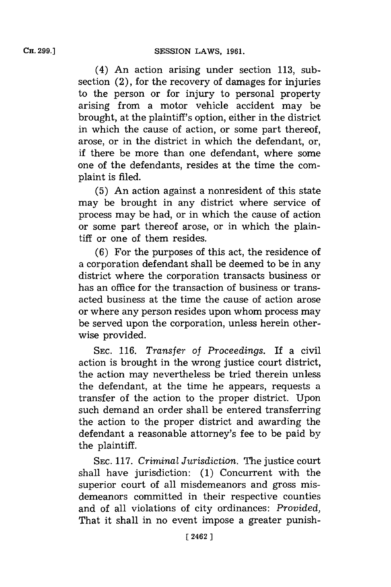(4) An action arising under section **113,** subsection (2), for the recovery of damages for injuries to the person or for injury to personal property arising from a motor vehicle accident may be brought, at the plaintiff's option, either in the district in which the cause of action, or some part thereof, arose, or in the district in which the defendant, or, if there be more than one defendant, where some one of the defendants, resides at the time the complaint is filed.

**(5)** An action against a nonresident of this state may be brought in any district where service of process may be had, or in which the cause of action or some part thereof arose, or in which the plaintiff or one of them resides.

**(6)** For the purposes of this act, the residence of a corporation defendant shall be deemed to be in any district where the corporation transacts business or has an office for the transaction of business or transacted business at the time the cause of action arose or where any person resides upon whom process may be served upon the corporation, unless herein otherwise provided.

**SEC. 116.** *Transfer of Proceedings.* If a civil action is brought in the wrong justice court district, the action may nevertheless be tried therein unless the defendant, at the time he appears, requests a transfer of the action to the proper district. Upon such demand an order shall be entered transferring the action to the proper district and awarding the defendant a reasonable attorney's fee to be paid **by** the plaintiff.

**SEC. 117.** *Criminal Jurisdiction.* The justice court shall have jurisdiction: **(1)** Concurrent with the superior court of all misdemeanors and gross misdemeanors committed in their respective counties and of all violations of city ordinances: *Provided,* That it shall in no event impose a greater punish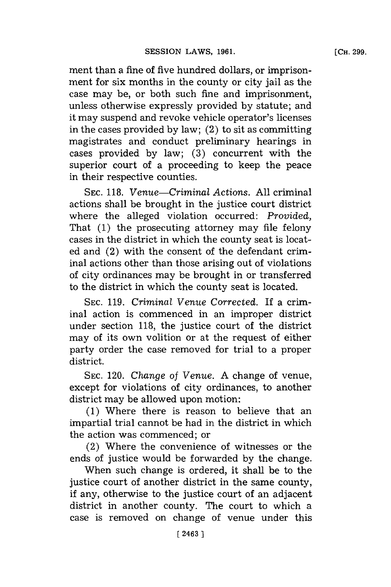ment than a fine of five hundred dollars, or imprisonment for six months in the county or city jail as the case may be, or both such fine and imprisonment, unless otherwise expressly provided **by** statute; and it may suspend and revoke vehicle operator's licenses in the cases provided **by** law; (2) to sit as committing magistrates and conduct preliminary hearings in cases provided **by** law; **(3)** concurrent with the superior court of a proceeding to keep the peace in their respective counties.

**SEC. 118.** *Venue-Criminal Actions.* **All** criminal actions shall be brought in the justice court district where the alleged violation occurred: *Provided,* That **(1)** the prosecuting attorney may file felony cases in the district in which the county seat is located and  $(2)$  with the consent of the defendant criminal actions other than those arising out of violations of city ordinances may be brought in or transferred to the district in which the county seat is located.

SEC. 119. *Criminal Venue Corrected.* If a criminal action is commenced in an improper district under section **118,** the justice court of the district may of its own volition or at the request of either party order the case removed for trial to a proper district.

**SEC.** 120. *Change* of Venue. **A** change of venue, except for violations of city ordinances, to another district may be allowed upon motion:

**(1)** Where there is reason to believe that an impartial trial cannot be had in the district in which the action was commenced; or

(2) Where the convenience of witnesses or the ends of justice would be forwarded **by** the change.

When such change is ordered, it shall be to the justice court of another district in the same county, if any, otherwise to the justice court of an adjacent district in another county. The court to which a case is removed on change of venue under this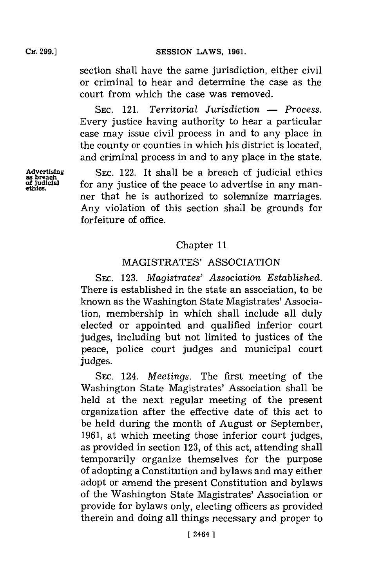**CH. 299.]**

section shall have the same jurisdiction, either civil or criminal to hear and determine the case as the court from which the case was removed.

**SEC.** 121. *Territorial Jurisdiction* **-** *Process.* Every justice having authority to hear a particular case may issue civil process in and to any place in the county or counties in which his district is located, and criminal process in and to any place in the state.

**Advertising** SEC. 122. It shall be a breach of judicial ethics as breach of straight second  $\frac{1}{2}$  of the page is a second in any man**of** judicial for any justice of the peace to advertise in any manner that he is authorized to solemnize marriages. Any violation of this section shall be grounds for forfeiture of office.

## Chapter **11**

## MAGISTRATES' ASSOCIATION

SEc. **123.** *Magistrates' Association Established.* There is established in the state an association, to be known as the Washington State Magistrates' Association, membership in which shall include all duly elected or appointed and qualified inferior court judges, including but not limited to justices of the peace, police court judges and municipal court judges.

**SEC.** 124. *Meetings.* The first meeting of the Washington State Magistrates' Association shall be held at the next regular meeting of the present organization after the effective date of this act to be held during the month of August or September, **1961,** at which meeting those inferior court judges, as provided in section **123,** of this act, attending shall temporarily organize themselves for the purpose of adopting a Constitution and bylaws and may either adopt or amend the present Constitution and bylaws of the Washington State Magistrates' Association or provide for bylaws only, electing officers as provided therein and doing all things necessary and proper to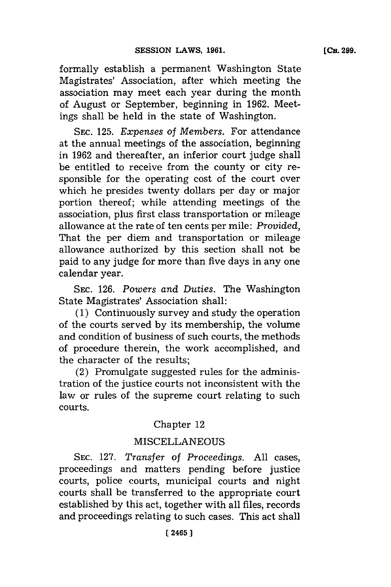formally establish a permanent Washington State Magistrates' Association, after which meeting the association may meet each year during the month of August or September, beginning in **1962.** Meetings shall be held in the state of Washington.

SEC. **125.** *Expenses of Members.* For attendance at the annual meetings of the association, beginning in **1962** and thereafter, an inferior court judge shall be entitled to receive from the county or city responsible for the operating cost of the court over which he presides twenty dollars per day or major portion thereof; while attending meetings of the association, plus first class transportation or mileage allowance at the rate of ten cents per mile: *Provided,* That the per diem and transportation or mileage allowance authorized **by** this section shall not be paid to any judge for more than five days in any one calendar year.

**SEC. 126.** *Powers and Duties.* The Washington State Magistrates' Association shall:

**(1)** Continuously survey and study the operation of the courts served **by** its membership, the volume and condition of business of such courts, the methods of procedure therein, the work accomplished, and the character of the results;

(2) Promulgate suggested rules for the administration of the justice courts not inconsistent with the law or rules of the supreme court relating to such courts.

# Chapter 12

# **MISCELLANEOUS**

**SEC. 127.** *Transfer of Proceedings.* **All** cases, proceedings and matters pending before justice courts, police courts, municipal courts and night courts shall be transferred to the appropriate court established **by** this act, together with all files, records and proceedings relating to such cases. This act shall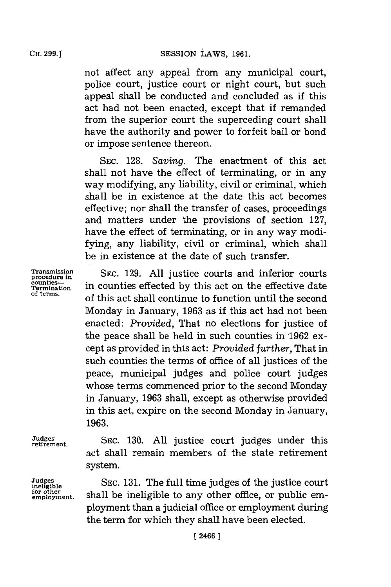not affect any appeal from any municipal court, police court, justice court or night court, but such appeal shall be conducted and concluded as **if** this act had not been enacted, except that if remanded from the superior court the superceding court shall have the authority and power to forfeit bail or bond or impose sentence thereon.

SEC. **128.** *Saving.* The enactment of this act shall not have the effect of terminating, or in any way modifying, any liability, civil or criminal, which shall be in existence at the date this act becomes effective; nor shall the transfer of cases, proceedings and matters under the provisions of section **127,** have the effect of terminating, or in any way modifying, any liability, civil or criminal, which shall be in existence at the date of such transfer.

**Transmission** SEC. 129. All justice courts and inferio power in.<br>
Termination in counties effected by this act on the effective date<br>
of terms, Monday in January, **1963** as if this act had not been enacted: *Provided,* That no elections for justice of the peace shall be held in such counties in **1962** except as provided in this act: *Provided further,* That in such counties the terms of office of all justices of the peace, municipal judges and police court judges whose terms commenced prior to the second Monday in January, **1963** shall, except as otherwise provided in this act, expire on the second Monday in January, **1963.**

**Judges for other**

Judges' **E.A. SEC.** 130. All justice court judges under this act shall remain members of the state retirement system.

SEC. 131. The full time judges of the justice court <sup>for other</sup> shall be ineligible to any other office, or public employment than a judicial office or employment during the term for which they shall have been elected.